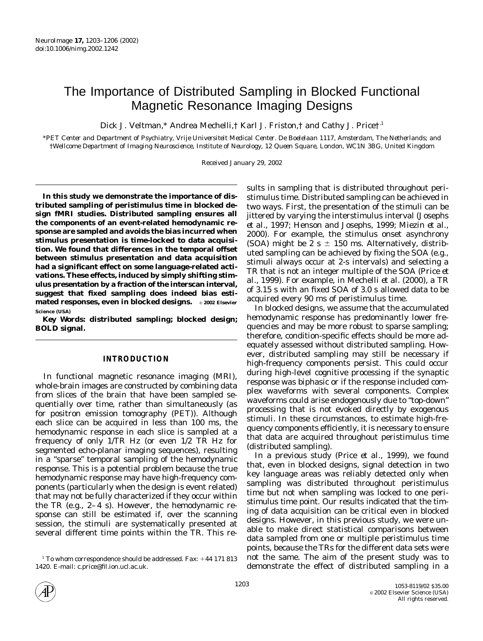# The Importance of Distributed Sampling in Blocked Functional Magnetic Resonance Imaging Designs

Dick J. Veltman,\* Andrea Mechelli,† Karl J. Friston,† and Cathy J. Price†<sup>,1</sup>

\**PET Center and Department of Psychiatry, Vrije Universiteit Medical Center. De Boelelaan 1117, Amsterdam, The Netherlands; and* †*Wellcome Department of Imaging Neuroscience, Institute of Neurology, 12 Queen Square, London, WC1N 3BG, United Kingdom*

Received January 29, 2002

**In this study we demonstrate the importance of distributed sampling of peristimulus time in blocked design fMRI studies. Distributed sampling ensures all the components of an event-related hemodynamic response are sampled and avoids the bias incurred when stimulus presentation is time-locked to data acquisition. We found that differences in the temporal offset between stimulus presentation and data acquisition had a significant effect on some language-related activations. These effects, induced by simply shifting stimulus presentation by a fraction of the interscan interval, suggest that fixed sampling does indeed bias estimated responses, even in blocked designs.** © **2002 Elsevier Science (USA)**

*Key Words:* **distributed sampling; blocked design; BOLD signal.**

# **INTRODUCTION**

In functional magnetic resonance imaging (MRI), whole-brain images are constructed by combining data from slices of the brain that have been sampled sequentially over time, rather than simultaneously (as for positron emission tomography (PET)). Although each slice can be acquired in less than 100 ms, the hemodynamic response in each slice is sampled at a frequency of only 1/TR Hz (or even 1/2 TR Hz for segmented echo-planar imaging sequences), resulting in a "sparse" temporal sampling of the hemodynamic response. This is a potential problem because the true hemodynamic response may have high-frequency components (particularly when the design is event related) that may not be fully characterized if they occur within the TR (e.g., 2–4 s). However, the hemodynamic response can still be estimated if, over the scanning session, the stimuli are systematically presented at several different time points within the TR. This results in sampling that is distributed throughout peristimulus time. Distributed sampling can be achieved in two ways. First, the presentation of the stimuli can be jittered by varying the interstimulus interval (Josephs *et al.,* 1997; Henson and Josephs, 1999; Miezin *et al.,* 2000). For example, the stimulus onset asynchrony (SOA) might be 2 s  $\pm$  150 ms. Alternatively, distributed sampling can be achieved by fixing the SOA (e.g., stimuli always occur at 2-s intervals) and selecting a TR that is not an integer multiple of the SOA (Price *et al.,* 1999). For example, in Mechelli *et al.* (2000), a TR of 3.15 s with an fixed SOA of 3.0 s allowed data to be acquired every 90 ms of peristimulus time.

In blocked designs, we assume that the accumulated hemodynamic response has predominantly lower frequencies and may be more robust to sparse sampling; therefore, condition-specific effects should be more adequately assessed without distributed sampling. However, distributed sampling may still be necessary if high-frequency components persist. This could occur during high-level cognitive processing if the synaptic response was biphasic or if the response included complex waveforms with several components. Complex waveforms could arise endogenously due to "top-down" processing that is not evoked directly by exogenous stimuli. In these circumstances, to estimate high-frequency components efficiently, it is necessary to ensure that data are acquired throughout peristimulus time (distributed sampling).

In a previous study (Price *et al.,* 1999), we found that, even in blocked designs, signal detection in two key language areas was reliably detected only when sampling was distributed throughout peristimulus time but not when sampling was locked to one peristimulus time point. Our results indicated that the timing of data acquisition can be critical even in blocked designs. However, in this previous study, we were unable to make direct statistical comparisons between data sampled from one or multiple peristimulus time points, because the TRs for the different data sets were not the same. The aim of the present study was to demonstrate the effect of distributed sampling in a



 $1$  To whom correspondence should be addressed. Fax:  $+44$  171 813 1420. E-mail: c.price@fil.ion.ucl.ac.uk.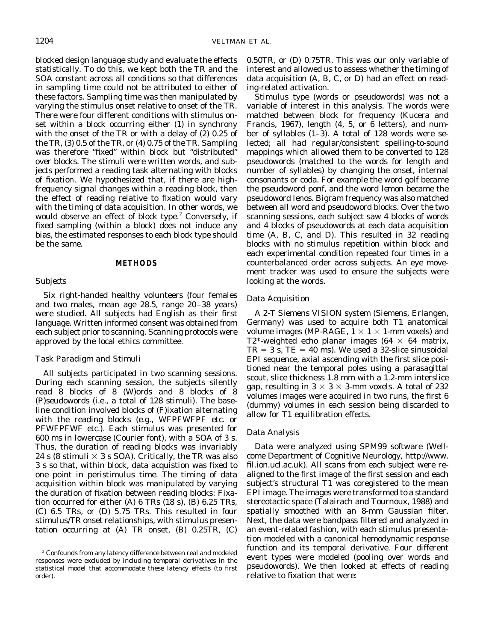blocked design language study and evaluate the effects statistically. To do this, we kept both the TR and the SOA constant across all conditions so that differences in sampling time could not be attributed to either of these factors. Sampling time was then manipulated by varying the stimulus onset relative to onset of the TR. There were four different conditions with stimulus onset within a block occurring either (1) in synchrony with the onset of the TR or with a delay of (2) 0.25 of the TR, (3) 0.5 of the TR, or (4) 0.75 of the TR. Sampling was therefore "fixed" within block but "distributed" over blocks. The stimuli were written words, and subjects performed a reading task alternating with blocks of fixation. We hypothesized that, if there are highfrequency signal changes within a reading block, then the effect of reading relative to fixation would vary with the timing of data acquisition. In other words, we would observe an effect of block type.<sup>2</sup> Conversely, if fixed sampling (within a block) does not induce any bias, the estimated responses to each block type should be the same.

#### **METHODS**

### *Subjects*

Six right-handed healthy volunteers (four females and two males, mean age 28.5, range 20–38 years) were studied. All subjects had English as their first language. Written informed consent was obtained from each subject prior to scanning. Scanning protocols were approved by the local ethics committee.

## *Task Paradigm and Stimuli*

All subjects participated in two scanning sessions. During each scanning session, the subjects silently read 8 blocks of 8 (W)ords and 8 blocks of 8 (P)seudowords (i.e., a total of 128 stimuli). The baseline condition involved blocks of (F)ixation alternating with the reading blocks (e.g., WFPFWFPF etc. or PFWFPFWF etc.). Each stimulus was presented for 600 *ms* in lowercase (Courier font), with a SOA of 3 s. Thus, the duration of reading blocks was invariably 24 s (8 stimuli  $\times$  3 s SOA). Critically, the TR was also 3 s so that, within block, data acquistion was fixed to one point in peristimulus time. The timing of data acquisition within block was manipulated by varying the duration of fixation between reading blocks: Fixation occurred for either (A) 6 TRs (18 s), (B) 6.25 TRs, (C) 6.5 TRs, or (D) 5.75 TRs. This resulted in four stimulus/TR onset relationships, with stimulus presentation occurring at (A) TR onset, (B) 0.25TR, (C) 0.50TR, or (D) 0.75TR. This was our only variable of interest and allowed us to assess whether the timing of data acquisition (A, B, C, or D) had an effect on reading-related activation.

Stimulus type (words or pseudowords) was not a variable of interest in this analysis. The words were matched between block for frequency (Kucera and Francis, 1967), length (4, 5, or 6 letters), and number of syllables (1–3). A total of 128 words were selected; all had regular/consistent spelling-to-sound mappings which allowed them to be converted to 128 pseudowords (matched to the words for length and number of syllables) by changing the onset, internal consonants or coda. For example the word *golf* became the pseudoword *ponf,* and the word *lemon* became the pseudoword *lenos*. Bigram frequency was also matched between all word and pseudoword blocks. Over the two scanning sessions, each subject saw 4 blocks of words and 4 blocks of pseudowords at each data acquisition time (A, B, C, and D). This resulted in 32 reading blocks with no stimulus repetition within block and each experimental condition repeated four times in a counterbalanced order across subjects. An eye movement tracker was used to ensure the subjects were looking at the words.

## *Data Acquisition*

A 2-T Siemens VISION system (Siemens, Erlangen, Germany) was used to acquire both T1 anatomical volume images (MP-RAGE,  $1 \times 1 \times 1$ -mm voxels) and T2\*-weighted echo planar images (64  $\times$  64 matrix,  $TR = 3$  s,  $TE = 40$  ms). We used a 32-slice sinusoidal EPI sequence, axial ascending with the first slice positioned near the temporal poles using a parasagittal scout, slice thickness 1.8 mm with a 1.2-mm interslice gap, resulting in  $3 \times 3 \times 3$ -mm voxels. A total of 232 volumes images were acquired in two runs, the first 6 (dummy) volumes in each session being discarded to allow for T1 equilibration effects.

### *Data Analysis*

Data were analyzed using SPM99 software (Wellcome Department of Cognitive Neurology, http://www. fil.ion.ucl.ac.uk). All scans from each subject were realigned to the first image of the first session and each subject's structural T1 was coregistered to the mean EPI image. The images were transformed to a standard stereotactic space (Talairach and Tournoux, 1988) and spatially smoothed with an 8-mm Gaussian filter. Next, the data were bandpass filtered and analyzed in an event-related fashion, with each stimulus presentation modeled with a canonical hemodynamic response function and its temporal derivative. Four different event types were modeled (pooling over words and pseudowords). We then looked at effects of reading relative to fixation that were:

<sup>&</sup>lt;sup>2</sup> Confounds from any latency difference between real and modeled responses were excluded by including temporal derivatives in the statistical model that accommodate these latency effects (to first order).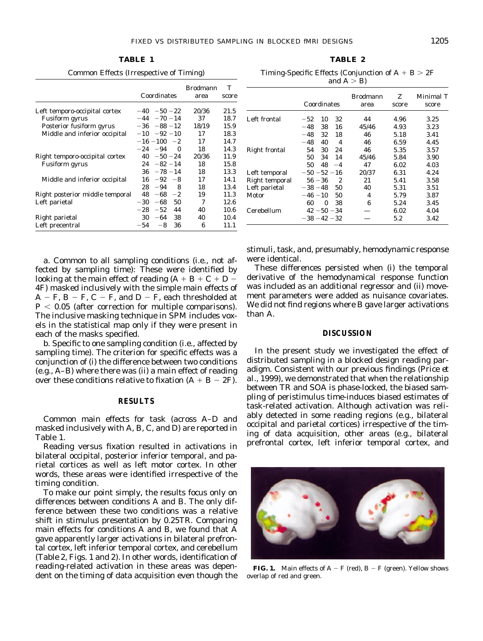**TABLE 1**

Common Effects (Irrespective of Timing)

|                                 |       | Coordinates      | <b>Brodmann</b><br>area | T<br>score |
|---------------------------------|-------|------------------|-------------------------|------------|
| Left temporo-occipital cortex   |       | $-40 -50 -22$    | 20/36                   | 21.5       |
| <b>Fusiform</b> gyrus           |       | $-44 - 70 - 14$  | 37                      | 18.7       |
| Posterior fusiform gyrus        |       | $-36 - 88 - 12$  | 18/19                   | 15.9       |
| Middle and inferior occipital   |       | $-10 -92 -10$    | 17                      | 18.3       |
|                                 |       | $-16 - 100 - 2$  | 17                      | 14.7       |
|                                 |       | $-24 -94 0$      | 18                      | 14.3       |
| Right temporo-occipital cortex  |       | $40 - 50 - 24$   | 20/36                   | 11.9       |
| Fusiform gyrus                  |       | $24 - 82 - 14$   | 18                      | 15.8       |
|                                 |       | $36 - 78 - 14$   | 18                      | 13.3       |
| Middle and inferior occipital   |       | $16 - 92 - 8$    | 17                      | 14.1       |
|                                 | 28    | $-94$            | 8<br>18                 | 13.4       |
| Right posterior middle temporal | 48    | -68<br>$-2$      | 19                      | 11.3       |
| Left parietal                   | $-30$ | -68<br>50        | 7                       | 12.6       |
|                                 |       | $-28 - 52$<br>44 | 40                      | 10.6       |
| Right parietal                  | 30    | $-64$ 38         | 40                      | 10.4       |
| Left precentral                 | $-54$ | 36<br>$-8$       | 6                       | 11.1       |

**TABLE 2** Timing-Specific Effects (Conjunction of  $A + B > 2F$ and  $A > B$ 

|                | Coordinates       | <b>Brodmann</b><br>area | Z<br>score | Minimal $T$<br>score |
|----------------|-------------------|-------------------------|------------|----------------------|
| Left frontal   | 10<br>32<br>$-52$ | 44                      | 4.96       | 3.25                 |
|                | $-48$<br>38<br>16 | 45/46                   | 4.93       | 3.23                 |
|                | $-48$<br>32<br>18 | 46                      | 5.18       | 3.41                 |
|                | $-48$<br>40<br>4  | 46                      | 6.59       | 4.45                 |
| Right frontal  | 30<br>54<br>24    | 46                      | 5.35       | 3.57                 |
|                | 50<br>34<br>14    | 45/46                   | 5.84       | 3.90                 |
|                | 48<br>50<br>$-4$  | 47                      | 6.02       | 4.03                 |
| Left temporal  | $-50 - 52 - 16$   | 20/37                   | 6.31       | 4.24                 |
| Right temporal | 2<br>$56 - 36$    | 21                      | 5.41       | 3.58                 |
| Left parietal  | 50<br>$-38 - 48$  | 40                      | 5.31       | 3.51                 |
| Motor          | 50<br>$-46 - 10$  | 4                       | 5.79       | 3.87                 |
|                | 60<br>0<br>38     | 6                       | 5.24       | 3.45                 |
| Cerebellum     | $42 - 50 - 34$    |                         | 6.02       | 4.04                 |
|                | $-38 - 42 - 32$   |                         | 5.2        | 3.42                 |

a. Common to all sampling conditions (i.e., not affected by sampling time): These were identified by looking at the main effect of reading  $(A + B + C + D -$ 4F) masked inclusively with the simple main effects of  $A - F$ ,  $B - F$ ,  $C - F$ , and  $D - F$ , each thresholded at  $P < 0.05$  (after correction for multiple comparisons). The inclusive masking technique in SPM includes voxels in the statistical map only if they were present in each of the masks specified.

b. Specific to one sampling condition (i.e., affected by sampling time). The criterion for specific effects was a conjunction of (i) the difference between two conditions (e.g., A–B) where there was (ii) a main effect of reading over these conditions relative to fixation (A  $+$  B  $-$  2F).

#### **RESULTS**

Common main effects for task (across A–D and masked inclusively with A, B, C, and D) are reported in Table 1.

Reading versus fixation resulted in activations in bilateral occipital, posterior inferior temporal, and parietal cortices as well as left motor cortex. In other words, these areas were identified irrespective of the timing condition.

To make our point simply, the results focus only on differences between conditions A and B. The only difference between these two conditions was a relative shift in stimulus presentation by 0.25TR. Comparing main effects for conditions A and B, we found that A gave apparently larger activations in bilateral prefrontal cortex, left inferior temporal cortex, and cerebellum (Table 2, Figs. 1 and 2). In other words, identification of reading-related activation in these areas was dependent on the timing of data acquisition even though the stimuli, task, and, presumably, hemodynamic response were identical.

These differences persisted when (i) the temporal derivative of the hemodynamical response function was included as an additional regressor and (ii) movement parameters were added as nuisance covariates. We did not find regions where B gave larger activations than A.

#### **DISCUSSION**

In the present study we investigated the effect of distributed sampling in a blocked design reading paradigm. Consistent with our previous findings (Price *et al.,* 1999), we demonstrated that when the relationship between TR and SOA is phase-locked, the biased sampling of peristimulus time-induces biased estimates of task-related activation. Although activation was reliably detected in some reading regions (e.g., bilateral occipital and parietal cortices) irrespective of the timing of data acquisition, other areas (e.g., bilateral prefrontal cortex, left inferior temporal cortex, and



**FIG. 1.** Main effects of  $A - F$  (red),  $B - F$  (green). Yellow shows overlap of red and green.